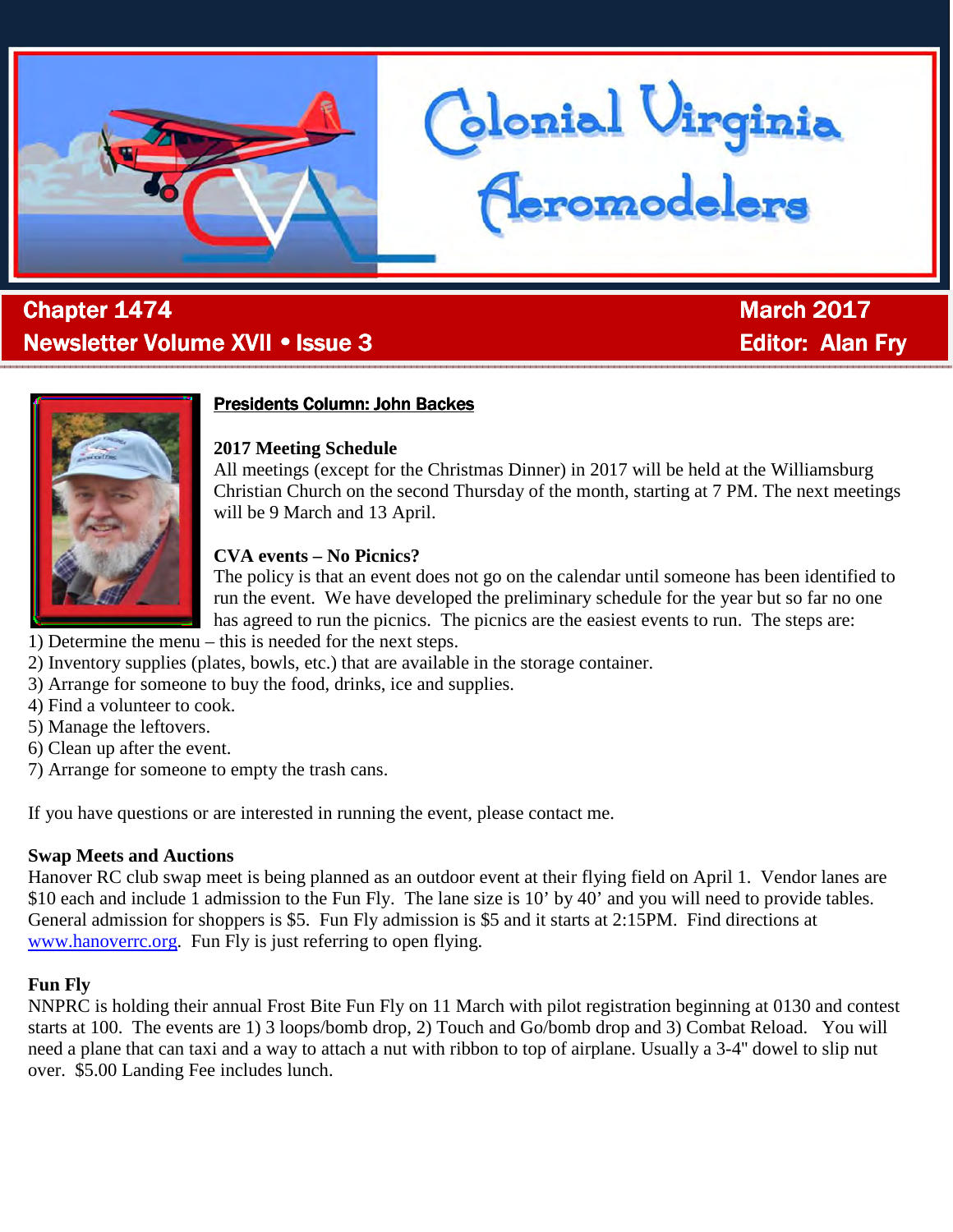

# . **Chapter 1474** March 2017 Newsletter Volume XVII • Issue 3 Editor: Editor: Alan Fry



# **Presidents Column: John Backes**

# **2017 Meeting Schedule**

All meetings (except for the Christmas Dinner) in 2017 will be held at the Williamsburg Christian Church on the second Thursday of the month, starting at 7 PM. The next meetings will be 9 March and 13 April.

Glonial Uirginia<br>Ceromodelers

# **CVA events – No Picnics?**

The policy is that an event does not go on the calendar until someone has been identified to run the event. We have developed the preliminary schedule for the year but so far no one has agreed to run the picnics. The picnics are the easiest events to run. The steps are:

- 1) Determine the menu this is needed for the next steps.
- 2) Inventory supplies (plates, bowls, etc.) that are available in the storage container.
- 3) Arrange for someone to buy the food, drinks, ice and supplies.
- 4) Find a volunteer to cook.
- 5) Manage the leftovers.
- 6) Clean up after the event.
- 7) Arrange for someone to empty the trash cans.

If you have questions or are interested in running the event, please contact me.

# **Swap Meets and Auctions**

Hanover RC club swap meet is being planned as an outdoor event at their flying field on April 1. Vendor lanes are \$10 each and include 1 admission to the Fun Fly. The lane size is 10' by 40' and you will need to provide tables. General admission for shoppers is \$5. Fun Fly admission is \$5 and it starts at 2:15PM. Find directions at www.hanoverrc.org. Fun Fly is just referring to open flying.

# **Fun Fly**

NNPRC is holding their annual Frost Bite Fun Fly on 11 March with pilot registration beginning at 0130 and contest starts at 100. The events are 1) 3 loops/bomb drop, 2) Touch and Go/bomb drop and 3) Combat Reload. You will need a plane that can taxi and a way to attach a nut with ribbon to top of airplane. Usually a 3-4'' dowel to slip nut over. \$5.00 Landing Fee includes lunch.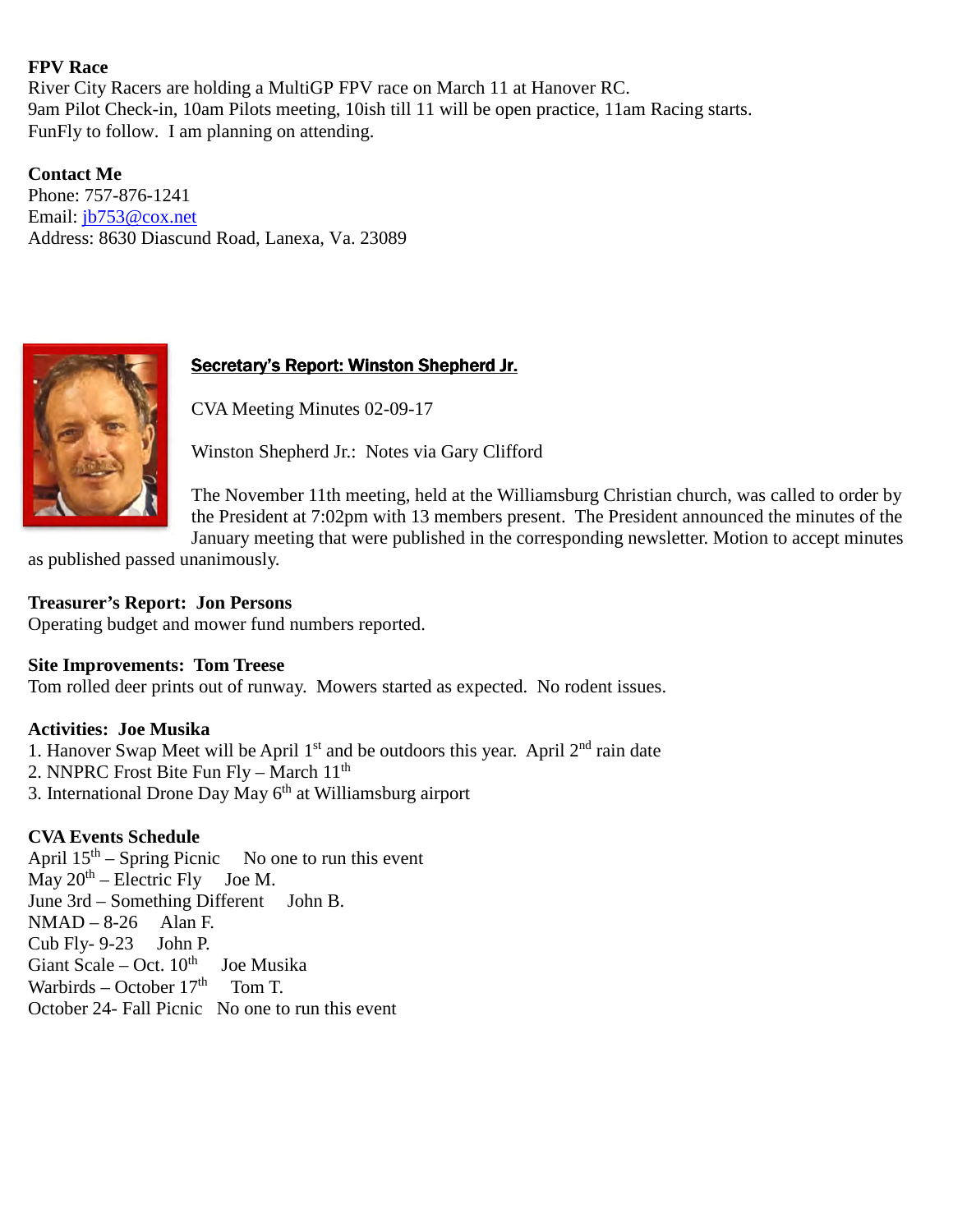#### **FPV Race**

River City Racers are holding a MultiGP FPV race on March 11 at Hanover RC. 9am Pilot Check-in, 10am Pilots meeting, 10ish till 11 will be open practice, 11am Racing starts. FunFly to follow. I am planning on attending.

**Contact Me**  Phone: 757-876-1241 Email: jb753@cox.net Address: 8630 Diascund Road, Lanexa, Va. 23089



# Secretary's Report: Winston Shepherd Jr.

CVA Meeting Minutes 02-09-17

Winston Shepherd Jr.: Notes via Gary Clifford

The November 11th meeting, held at the Williamsburg Christian church, was called to order by the President at 7:02pm with 13 members present. The President announced the minutes of the January meeting that were published in the corresponding newsletter. Motion to accept minutes

as published passed unanimously.

#### **Treasurer's Report: Jon Persons**

Operating budget and mower fund numbers reported.

# **Site Improvements: Tom Treese**

Tom rolled deer prints out of runway. Mowers started as expected. No rodent issues.

#### **Activities: Joe Musika**

1. Hanover Swap Meet will be April  $1<sup>st</sup>$  and be outdoors this year. April  $2<sup>nd</sup>$  rain date

- 2. NNPRC Frost Bite Fun Fly March 11<sup>th</sup>
- 3. International Drone Day May 6th at Williamsburg airport

# **CVA Events Schedule**

April  $15<sup>th</sup>$  – Spring Picnic No one to run this event  $\overrightarrow{May}$  20<sup>th</sup> – Electric Fly Joe M. June 3rd – Something Different John B.  $NMAD - 8-26$  Alan F. Cub Fly- 9-23 John P. Giant Scale – Oct.  $10^{th}$  Joe Musika Warbirds – October  $17<sup>th</sup>$  Tom T. October 24- Fall Picnic No one to run this event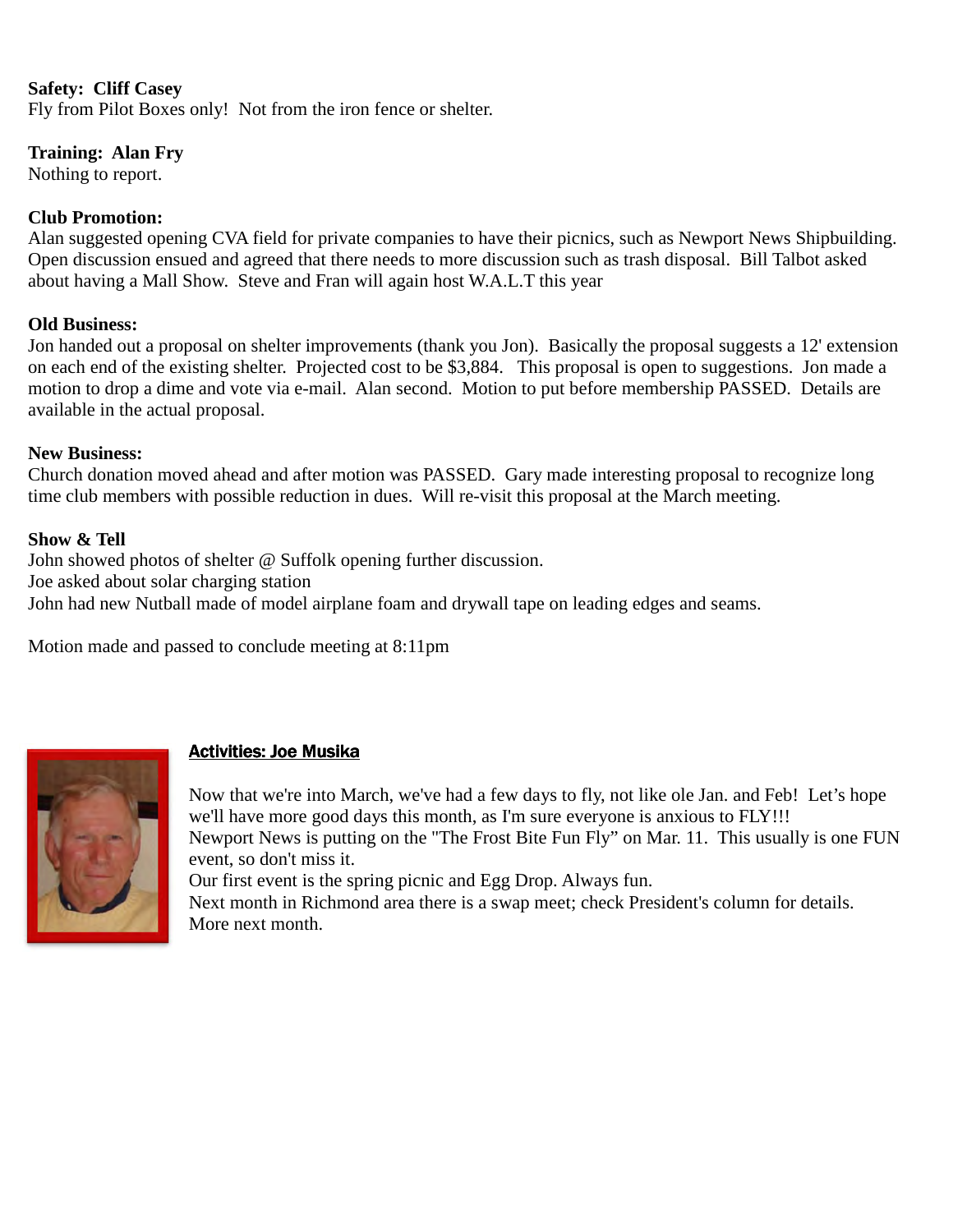#### **Safety: Cliff Casey**

Fly from Pilot Boxes only! Not from the iron fence or shelter.

#### **Training: Alan Fry**

Nothing to report.

#### **Club Promotion:**

Alan suggested opening CVA field for private companies to have their picnics, such as Newport News Shipbuilding. Open discussion ensued and agreed that there needs to more discussion such as trash disposal. Bill Talbot asked about having a Mall Show. Steve and Fran will again host W.A.L.T this year

#### **Old Business:**

Jon handed out a proposal on shelter improvements (thank you Jon). Basically the proposal suggests a 12' extension on each end of the existing shelter. Projected cost to be \$3,884. This proposal is open to suggestions. Jon made a motion to drop a dime and vote via e-mail. Alan second. Motion to put before membership PASSED. Details are available in the actual proposal.

#### **New Business:**

Church donation moved ahead and after motion was PASSED. Gary made interesting proposal to recognize long time club members with possible reduction in dues. Will re-visit this proposal at the March meeting.

#### **Show & Tell**

John showed photos of shelter @ Suffolk opening further discussion. Joe asked about solar charging station John had new Nutball made of model airplane foam and drywall tape on leading edges and seams.

Motion made and passed to conclude meeting at 8:11pm



# **Activities: Joe Musika**

Now that we're into March, we've had a few days to fly, not like ole Jan. and Feb! Let's hope we'll have more good days this month, as I'm sure everyone is anxious to FLY!!! Newport News is putting on the "The Frost Bite Fun Fly" on Mar. 11. This usually is one FUN event, so don't miss it.

Our first event is the spring picnic and Egg Drop. Always fun.

Next month in Richmond area there is a swap meet; check President's column for details. More next month.